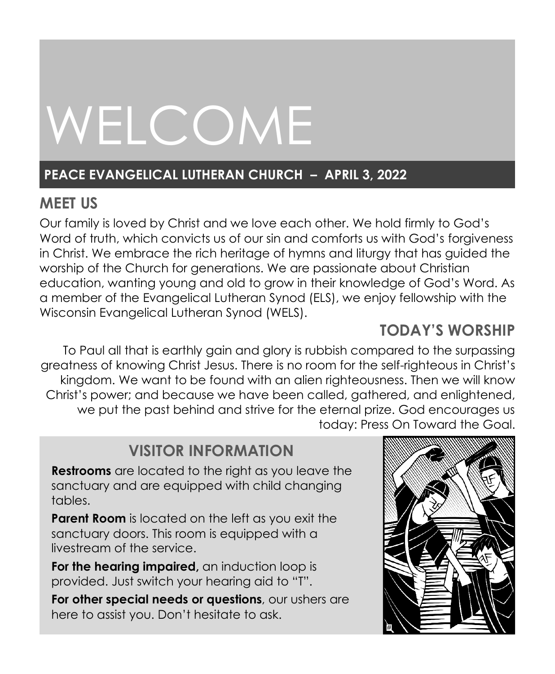# WELCOME

# **PEACE EVANGELICAL LUTHERAN CHURCH – APRIL 3, 2022**

# **MEET US**

Our family is loved by Christ and we love each other. We hold firmly to God's Word of truth, which convicts us of our sin and comforts us with God's forgiveness in Christ. We embrace the rich heritage of hymns and liturgy that has guided the worship of the Church for generations. We are passionate about Christian education, wanting young and old to grow in their knowledge of God's Word. As a member of the Evangelical Lutheran Synod (ELS), we enjoy fellowship with the Wisconsin Evangelical Lutheran Synod (WELS).

# **TODAY'S WORSHIP**

To Paul all that is earthly gain and glory is rubbish compared to the surpassing greatness of knowing Christ Jesus. There is no room for the self-righteous in Christ's kingdom. We want to be found with an alien righteousness. Then we will know Christ's power; and because we have been called, gathered, and enlightened, we put the past behind and strive for the eternal prize. God encourages us today: Press On Toward the Goal.

# **VISITOR INFORMATION**

**Restrooms** are located to the right as you leave the sanctuary and are equipped with child changing tables.

**Parent Room** is located on the left as you exit the sanctuary doors. This room is equipped with a livestream of the service.

**For the hearing impaired,** an induction loop is provided. Just switch your hearing aid to "T".

**For other special needs or questions**, our ushers are here to assist you. Don't hesitate to ask.

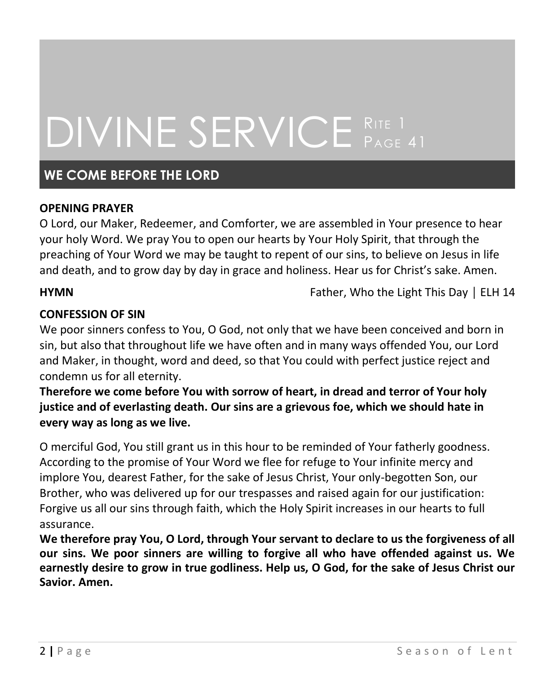# DIVINE SERVICE RITE 1 **PAGE 41**

## **WE COME BEFORE THE LORD**

#### **OPENING PRAYER**

O Lord, our Maker, Redeemer, and Comforter, we are assembled in Your presence to hear your holy Word. We pray You to open our hearts by Your Holy Spirit, that through the preaching of Your Word we may be taught to repent of our sins, to believe on Jesus in life and death, and to grow day by day in grace and holiness. Hear us for Christ's sake. Amen.

**HYMN** Father, Who the Light This Day │ ELH 14

#### **CONFESSION OF SIN**

We poor sinners confess to You, O God, not only that we have been conceived and born in sin, but also that throughout life we have often and in many ways offended You, our Lord and Maker, in thought, word and deed, so that You could with perfect justice reject and condemn us for all eternity.

**Therefore we come before You with sorrow of heart, in dread and terror of Your holy justice and of everlasting death. Our sins are a grievous foe, which we should hate in every way as long as we live.**

O merciful God, You still grant us in this hour to be reminded of Your fatherly goodness. According to the promise of Your Word we flee for refuge to Your infinite mercy and implore You, dearest Father, for the sake of Jesus Christ, Your only-begotten Son, our Brother, who was delivered up for our trespasses and raised again for our justification: Forgive us all our sins through faith, which the Holy Spirit increases in our hearts to full assurance.

**We therefore pray You, O Lord, through Your servant to declare to us the forgiveness of all our sins. We poor sinners are willing to forgive all who have offended against us. We earnestly desire to grow in true godliness. Help us, O God, for the sake of Jesus Christ our Savior. Amen.**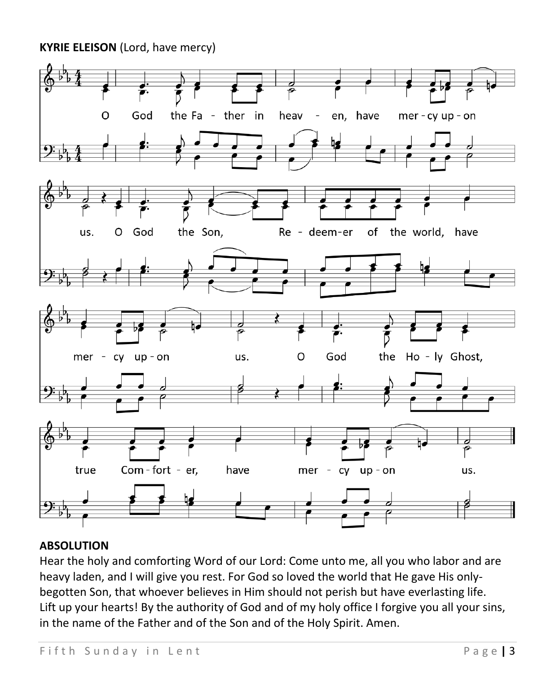**KYRIE ELEISON** (Lord, have mercy)



#### **ABSOLUTION**

Hear the holy and comforting Word of our Lord: Come unto me, all you who labor and are heavy laden, and I will give you rest. For God so loved the world that He gave His onlybegotten Son, that whoever believes in Him should not perish but have everlasting life. Lift up your hearts! By the authority of God and of my holy office I forgive you all your sins, in the name of the Father and of the Son and of the Holy Spirit. Amen.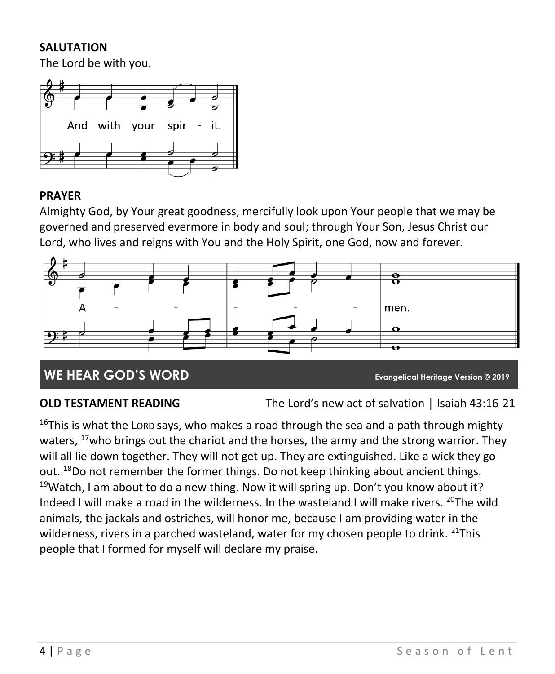#### **SALUTATION**

The Lord be with you.



## **PRAYER**

Almighty God, by Your great goodness, mercifully look upon Your people that we may be governed and preserved evermore in body and soul; through Your Son, Jesus Christ our Lord, who lives and reigns with You and the Holy Spirit, one God, now and forever.



# **WE HEAR GOD'S WORD Evangelical Heritage Version © 2019**

**OLD TESTAMENT READING** The Lord's new act of salvation | Isaiah 43:16-21

<sup>16</sup>This is what the LORD says, who makes a road through the sea and a path through mighty waters, <sup>17</sup>who brings out the chariot and the horses, the army and the strong warrior. They will all lie down together. They will not get up. They are extinguished. Like a wick they go out. <sup>18</sup>Do not remember the former things. Do not keep thinking about ancient things.  $19$ Watch, I am about to do a new thing. Now it will spring up. Don't you know about it? Indeed I will make a road in the wilderness. In the wasteland I will make rivers,  $^{20}$ The wild animals, the jackals and ostriches, will honor me, because I am providing water in the wilderness, rivers in a parched wasteland, water for my chosen people to drink. <sup>21</sup>This people that I formed for myself will declare my praise.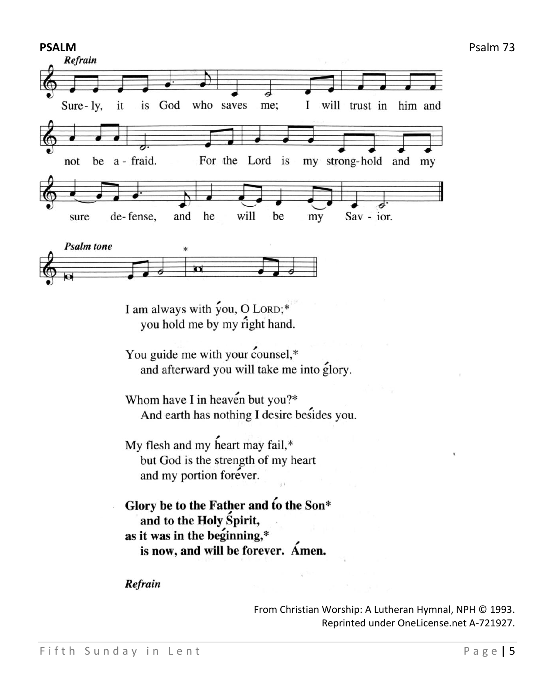

I am always with you, O LORD;\* you hold me by my right hand.

You guide me with your counsel,\* and afterward you will take me into glory.

Whom have I in heaven but you?\* And earth has nothing I desire besides you.

My flesh and my heart may fail,\* but God is the strength of my heart and my portion forever.

Glory be to the Father and to the Son\* and to the Holy Spirit, as it was in the beginning,\* is now, and will be forever. Amen.

Refrain

From Christian Worship: A Lutheran Hymnal, NPH © 1993. Reprinted under OneLicense.net A-721927.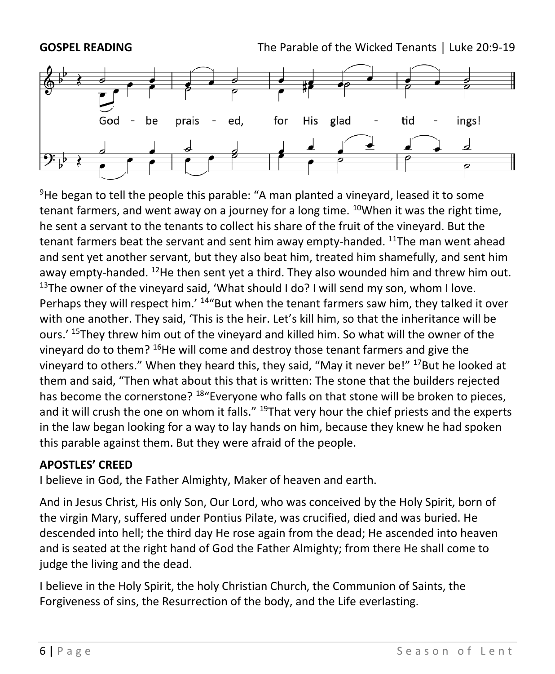



 $9$ He began to tell the people this parable: "A man planted a vinevard, leased it to some tenant farmers, and went away on a journey for a long time.  $^{10}$ When it was the right time, he sent a servant to the tenants to collect his share of the fruit of the vineyard. But the tenant farmers beat the servant and sent him away empty-handed. <sup>11</sup>The man went ahead and sent yet another servant, but they also beat him, treated him shamefully, and sent him away empty-handed. <sup>12</sup>He then sent yet a third. They also wounded him and threw him out. <sup>13</sup>The owner of the vineyard said, 'What should I do? I will send my son, whom I love. Perhaps they will respect him.' <sup>14</sup>"But when the tenant farmers saw him, they talked it over with one another. They said, 'This is the heir. Let's kill him, so that the inheritance will be ours.' <sup>15</sup>They threw him out of the vineyard and killed him. So what will the owner of the vineyard do to them? <sup>16</sup>He will come and destroy those tenant farmers and give the vineyard to others." When they heard this, they said, "May it never be!"  $^{17}$ But he looked at them and said, "Then what about this that is written: The stone that the builders rejected has become the cornerstone? <sup>18</sup>"Everyone who falls on that stone will be broken to pieces, and it will crush the one on whom it falls." <sup>19</sup>That very hour the chief priests and the experts in the law began looking for a way to lay hands on him, because they knew he had spoken this parable against them. But they were afraid of the people.

#### **APOSTLES' CREED**

I believe in God, the Father Almighty, Maker of heaven and earth.

And in Jesus Christ, His only Son, Our Lord, who was conceived by the Holy Spirit, born of the virgin Mary, suffered under Pontius Pilate, was crucified, died and was buried. He descended into hell; the third day He rose again from the dead; He ascended into heaven and is seated at the right hand of God the Father Almighty; from there He shall come to judge the living and the dead.

I believe in the Holy Spirit, the holy Christian Church, the Communion of Saints, the Forgiveness of sins, the Resurrection of the body, and the Life everlasting.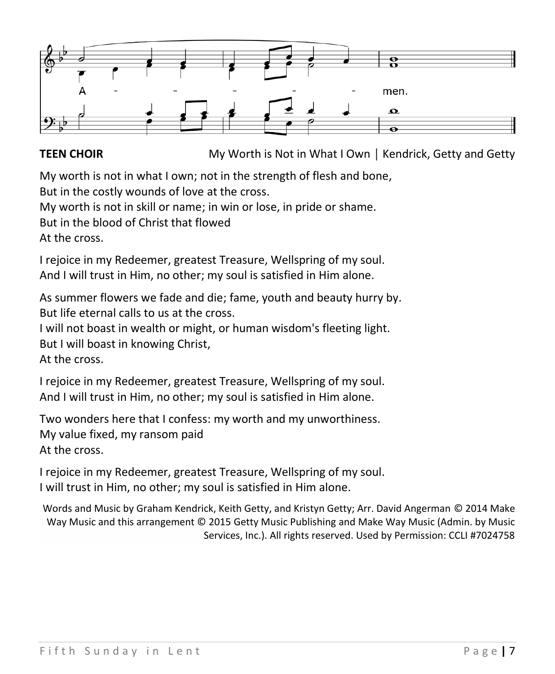

**TEEN CHOIR** My Worth is Not in What I Own │ Kendrick, Getty and Getty

My worth is not in what I own; not in the strength of flesh and bone, But in the costly wounds of love at the cross.

My worth is not in skill or name; in win or lose, in pride or shame.

But in the blood of Christ that flowed

At the cross.

I rejoice in my Redeemer, greatest Treasure, Wellspring of my soul. And I will trust in Him, no other; my soul is satisfied in Him alone.

As summer flowers we fade and die; fame, youth and beauty hurry by. But life eternal calls to us at the cross.

I will not boast in wealth or might, or human wisdom's fleeting light.

But I will boast in knowing Christ,

At the cross.

I rejoice in my Redeemer, greatest Treasure, Wellspring of my soul. And I will trust in Him, no other; my soul is satisfied in Him alone.

Two wonders here that I confess: my worth and my unworthiness. My value fixed, my ransom paid At the cross.

I rejoice in my Redeemer, greatest Treasure, Wellspring of my soul. I will trust in Him, no other; my soul is satisfied in Him alone.

Words and Music by Graham Kendrick, Keith Getty, and Kristyn Getty; Arr. David Angerman © 2014 Make Way Music and this arrangement © 2015 Getty Music Publishing and Make Way Music (Admin. by Music Services, Inc.). All rights reserved. Used by Permission: CCLI #7024758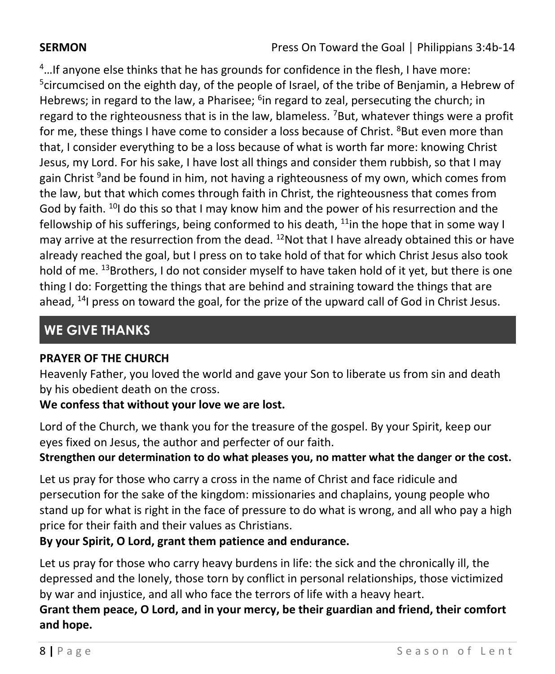$4...$ If anyone else thinks that he has grounds for confidence in the flesh, I have more: <sup>5</sup>circumcised on the eighth day, of the people of Israel, of the tribe of Benjamin, a Hebrew of Hebrews; in regard to the law, a Pharisee; <sup>6</sup>in regard to zeal, persecuting the church; in regard to the righteousness that is in the law, blameless.  $78$ ut, whatever things were a profit for me, these things I have come to consider a loss because of Christ. <sup>8</sup>But even more than that, I consider everything to be a loss because of what is worth far more: knowing Christ Jesus, my Lord. For his sake, I have lost all things and consider them rubbish, so that I may gain Christ <sup>9</sup>and be found in him, not having a righteousness of my own, which comes from the law, but that which comes through faith in Christ, the righteousness that comes from God by faith. <sup>10</sup>I do this so that I may know him and the power of his resurrection and the fellowship of his sufferings, being conformed to his death,  $11$ in the hope that in some way I may arrive at the resurrection from the dead.  $^{12}$ Not that I have already obtained this or have already reached the goal, but I press on to take hold of that for which Christ Jesus also took hold of me. <sup>13</sup>Brothers, I do not consider myself to have taken hold of it yet, but there is one thing I do: Forgetting the things that are behind and straining toward the things that are ahead,  $^{14}$  press on toward the goal, for the prize of the upward call of God in Christ Jesus.

# **WE GIVE THANKS**

## **PRAYER OF THE CHURCH**

Heavenly Father, you loved the world and gave your Son to liberate us from sin and death by his obedient death on the cross.

## **We confess that without your love we are lost.**

Lord of the Church, we thank you for the treasure of the gospel. By your Spirit, keep our eyes fixed on Jesus, the author and perfecter of our faith.

### **Strengthen our determination to do what pleases you, no matter what the danger or the cost.**

Let us pray for those who carry a cross in the name of Christ and face ridicule and persecution for the sake of the kingdom: missionaries and chaplains, young people who stand up for what is right in the face of pressure to do what is wrong, and all who pay a high price for their faith and their values as Christians.

## **By your Spirit, O Lord, grant them patience and endurance.**

Let us pray for those who carry heavy burdens in life: the sick and the chronically ill, the depressed and the lonely, those torn by conflict in personal relationships, those victimized by war and injustice, and all who face the terrors of life with a heavy heart.

**Grant them peace, O Lord, and in your mercy, be their guardian and friend, their comfort and hope.**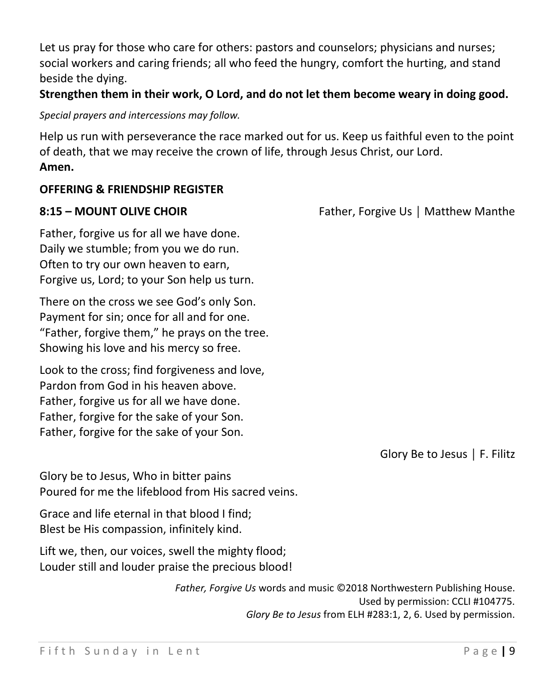Let us pray for those who care for others: pastors and counselors; physicians and nurses; social workers and caring friends; all who feed the hungry, comfort the hurting, and stand beside the dying.

#### **Strengthen them in their work, O Lord, and do not let them become weary in doing good.**

*Special prayers and intercessions may follow.*

Help us run with perseverance the race marked out for us. Keep us faithful even to the point of death, that we may receive the crown of life, through Jesus Christ, our Lord. **Amen.**

### **OFFERING & FRIENDSHIP REGISTER**

| Father, forgive us for all we have done.    |
|---------------------------------------------|
| Daily we stumble; from you we do run.       |
| Often to try our own heaven to earn,        |
| Forgive us, Lord; to your Son help us turn. |

There on the cross we see God's only Son. Payment for sin; once for all and for one. "Father, forgive them," he prays on the tree. Showing his love and his mercy so free.

Look to the cross; find forgiveness and love, Pardon from God in his heaven above. Father, forgive us for all we have done. Father, forgive for the sake of your Son. Father, forgive for the sake of your Son.

**8:15 – MOUNT OLIVE CHOIR** Father, Forgive Us | Matthew Manthe

Glory Be to Jesus │ F. Filitz

Glory be to Jesus, Who in bitter pains Poured for me the lifeblood from His sacred veins.

Grace and life eternal in that blood I find; Blest be His compassion, infinitely kind.

Lift we, then, our voices, swell the mighty flood; Louder still and louder praise the precious blood!

> *Father, Forgive Us* words and music ©2018 Northwestern Publishing House. Used by permission: CCLI #104775. *Glory Be to Jesus* from ELH #283:1, 2, 6. Used by permission.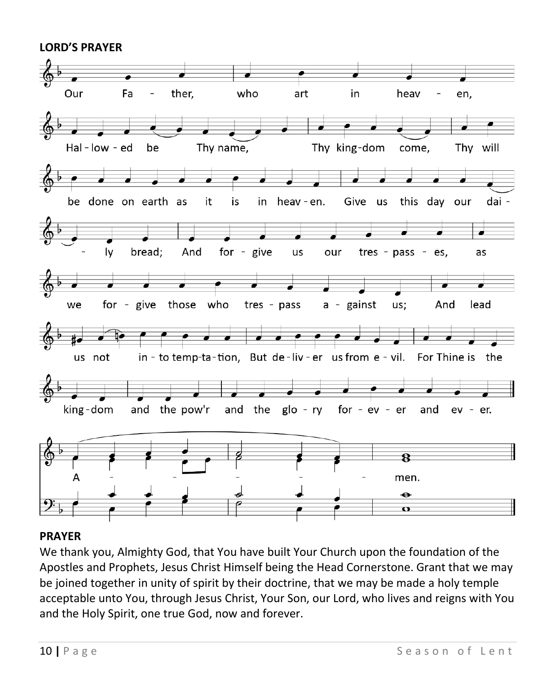

#### **PRAYER**

We thank you, Almighty God, that You have built Your Church upon the foundation of the Apostles and Prophets, Jesus Christ Himself being the Head Cornerstone. Grant that we may be joined together in unity of spirit by their doctrine, that we may be made a holy temple acceptable unto You, through Jesus Christ, Your Son, our Lord, who lives and reigns with You and the Holy Spirit, one true God, now and forever.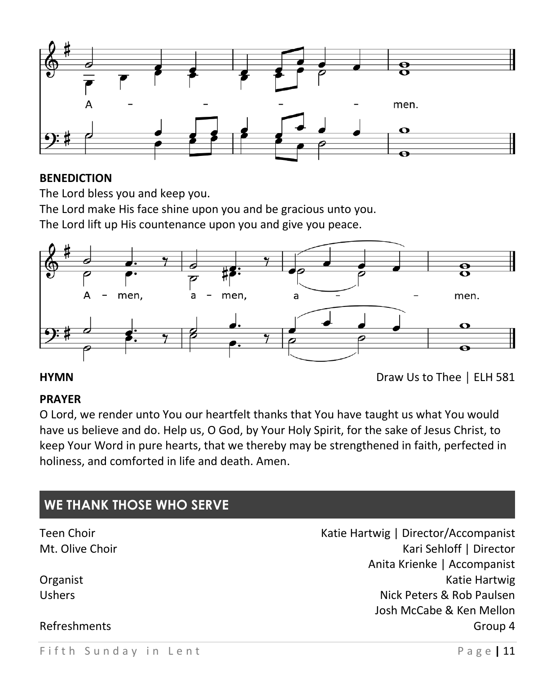

#### **BENEDICTION**

The Lord bless you and keep you.

The Lord make His face shine upon you and be gracious unto you.

The Lord lift up His countenance upon you and give you peace.



**HYMN** Draw Us to Thee │ ELH 581

#### **PRAYER**

O Lord, we render unto You our heartfelt thanks that You have taught us what You would have us believe and do. Help us, O God, by Your Holy Spirit, for the sake of Jesus Christ, to keep Your Word in pure hearts, that we thereby may be strengthened in faith, perfected in holiness, and comforted in life and death. Amen.

# Teen Choir **The Choir** Choir Choice Assembly Matie Hartwig | Director/Accompanist Mt. Olive Choir National According to the Choice of the Choice of the Choice of the Choice of the Choice of the Choice of the Choice of the Choice of the Choice of the Choice of the Choice of the Choice of the Choice of th Anita Krienke | Accompanist Organist **Katie Hartwig** Constanting Constanting Constanting Constanting Constanting Constanting Constanting Constanting Constanting Constanting Constanting Constanting Constanting Constanting Constanting Constanting Const Ushers Nick Peters & Rob Paulsen Josh McCabe & Ken Mellon Refreshments Group 4 **WE THANK THOSE WHO SERVE**

#### Fifth Sunday in Lent **Filtra and Automobia and Page | 11**